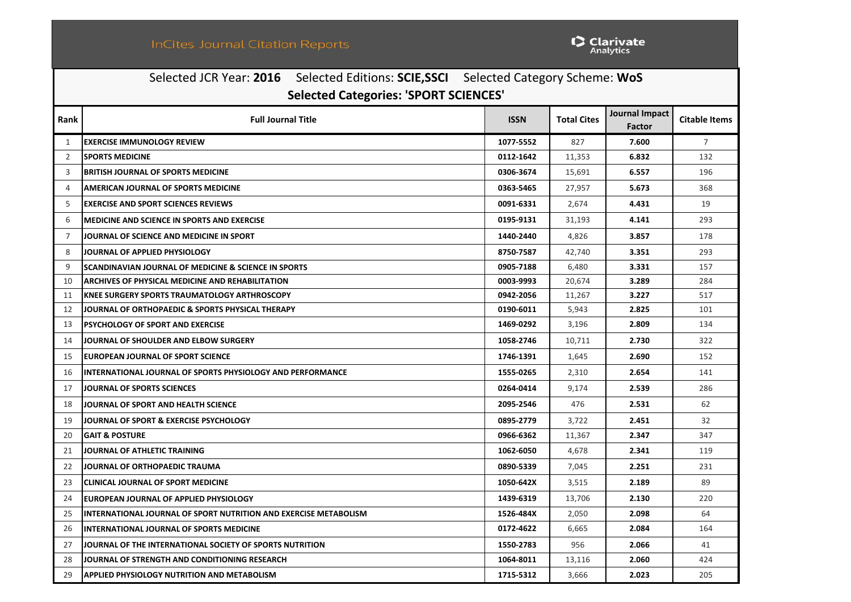|                | Selected JCR Year: 2016 Selected Editions: SCIE, SSCI Selected Category Scheme: WoS |             |                    |                                        |                      |  |  |  |  |
|----------------|-------------------------------------------------------------------------------------|-------------|--------------------|----------------------------------------|----------------------|--|--|--|--|
|                | <b>Selected Categories: 'SPORT SCIENCES'</b>                                        |             |                    |                                        |                      |  |  |  |  |
| Rank           | <b>Full Journal Title</b>                                                           | <b>ISSN</b> | <b>Total Cites</b> | <b>Journal Impact</b><br><b>Factor</b> | <b>Citable Items</b> |  |  |  |  |
| $\mathbf{1}$   | <b>EXERCISE IMMUNOLOGY REVIEW</b>                                                   | 1077-5552   | 827                | 7.600                                  | $\overline{7}$       |  |  |  |  |
| 2              | <b>SPORTS MEDICINE</b>                                                              | 0112-1642   | 11,353             | 6.832                                  | 132                  |  |  |  |  |
| $\overline{3}$ | <b>BRITISH JOURNAL OF SPORTS MEDICINE</b>                                           | 0306-3674   | 15,691             | 6.557                                  | 196                  |  |  |  |  |
| $\overline{4}$ | AMERICAN JOURNAL OF SPORTS MEDICINE                                                 | 0363-5465   | 27,957             | 5.673                                  | 368                  |  |  |  |  |
| 5              | <b>EXERCISE AND SPORT SCIENCES REVIEWS</b>                                          | 0091-6331   | 2,674              | 4.431                                  | 19                   |  |  |  |  |
| 6              | MEDICINE AND SCIENCE IN SPORTS AND EXERCISE                                         | 0195-9131   | 31,193             | 4.141                                  | 293                  |  |  |  |  |
| $\overline{7}$ | JOURNAL OF SCIENCE AND MEDICINE IN SPORT                                            | 1440-2440   | 4,826              | 3.857                                  | 178                  |  |  |  |  |
| 8              | JOURNAL OF APPLIED PHYSIOLOGY                                                       | 8750-7587   | 42,740             | 3.351                                  | 293                  |  |  |  |  |
| 9              | <b>SCANDINAVIAN JOURNAL OF MEDICINE &amp; SCIENCE IN SPORTS</b>                     | 0905-7188   | 6,480              | 3.331                                  | 157                  |  |  |  |  |
| 10             | ARCHIVES OF PHYSICAL MEDICINE AND REHABILITATION                                    | 0003-9993   | 20,674             | 3.289                                  | 284                  |  |  |  |  |
| 11             | KNEE SURGERY SPORTS TRAUMATOLOGY ARTHROSCOPY                                        | 0942-2056   | 11,267             | 3.227                                  | 517                  |  |  |  |  |
| 12             | JOURNAL OF ORTHOPAEDIC & SPORTS PHYSICAL THERAPY                                    | 0190-6011   | 5,943              | 2.825                                  | 101                  |  |  |  |  |
| 13             | <b>PSYCHOLOGY OF SPORT AND EXERCISE</b>                                             | 1469-0292   | 3,196              | 2.809                                  | 134                  |  |  |  |  |
| 14             | JOURNAL OF SHOULDER AND ELBOW SURGERY                                               | 1058-2746   | 10,711             | 2.730                                  | 322                  |  |  |  |  |
| 15             | EUROPEAN JOURNAL OF SPORT SCIENCE                                                   | 1746-1391   | 1,645              | 2.690                                  | 152                  |  |  |  |  |
| 16             | <b>INTERNATIONAL JOURNAL OF SPORTS PHYSIOLOGY AND PERFORMANCE</b>                   | 1555-0265   | 2,310              | 2.654                                  | 141                  |  |  |  |  |
| 17             | <b>JOURNAL OF SPORTS SCIENCES</b>                                                   | 0264-0414   | 9,174              | 2.539                                  | 286                  |  |  |  |  |
| 18             | JOURNAL OF SPORT AND HEALTH SCIENCE                                                 | 2095-2546   | 476                | 2.531                                  | 62                   |  |  |  |  |
| 19             | JOURNAL OF SPORT & EXERCISE PSYCHOLOGY                                              | 0895-2779   | 3,722              | 2.451                                  | 32                   |  |  |  |  |
| 20             | <b>GAIT &amp; POSTURE</b>                                                           | 0966-6362   | 11,367             | 2.347                                  | 347                  |  |  |  |  |
| 21             | <b>JOURNAL OF ATHLETIC TRAINING</b>                                                 | 1062-6050   | 4,678              | 2.341                                  | 119                  |  |  |  |  |
| 22             | JOURNAL OF ORTHOPAEDIC TRAUMA                                                       | 0890-5339   | 7,045              | 2.251                                  | 231                  |  |  |  |  |
| 23             | <b>CLINICAL JOURNAL OF SPORT MEDICINE</b>                                           | 1050-642X   | 3,515              | 2.189                                  | 89                   |  |  |  |  |
| 24             | EUROPEAN JOURNAL OF APPLIED PHYSIOLOGY                                              | 1439-6319   | 13,706             | 2.130                                  | 220                  |  |  |  |  |
| 25             | INTERNATIONAL JOURNAL OF SPORT NUTRITION AND EXERCISE METABOLISM                    | 1526-484X   | 2,050              | 2.098                                  | 64                   |  |  |  |  |
| 26             | <b>INTERNATIONAL JOURNAL OF SPORTS MEDICINE</b>                                     | 0172-4622   | 6,665              | 2.084                                  | 164                  |  |  |  |  |
| 27             | JOURNAL OF THE INTERNATIONAL SOCIETY OF SPORTS NUTRITION                            | 1550-2783   | 956                | 2.066                                  | 41                   |  |  |  |  |
| 28             | JOURNAL OF STRENGTH AND CONDITIONING RESEARCH                                       | 1064-8011   | 13,116             | 2.060                                  | 424                  |  |  |  |  |
| 29             | APPLIED PHYSIOLOGY NUTRITION AND METABOLISM                                         | 1715-5312   | 3,666              | 2.023                                  | 205                  |  |  |  |  |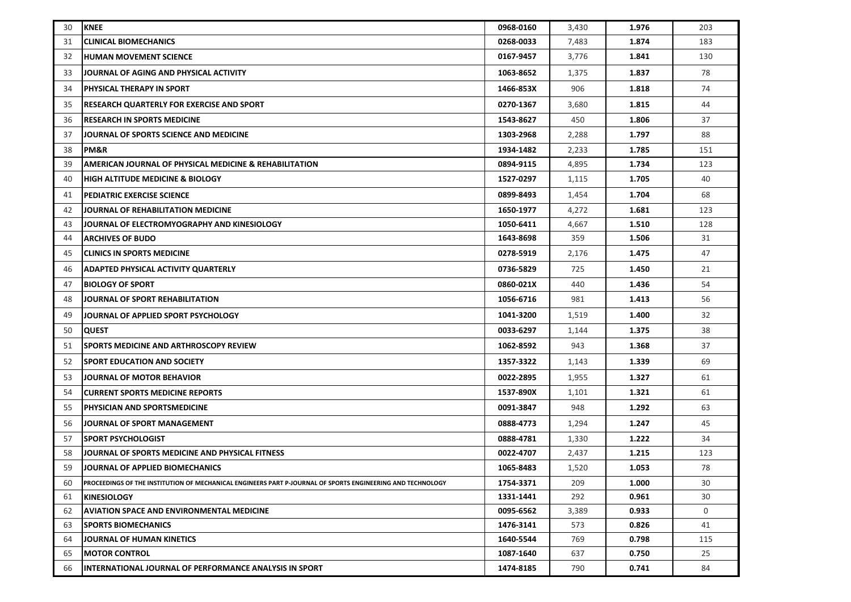| 30 | <b>KNEE</b>                                                                                                | 0968-0160 | 3,430 | 1.976 | 203 |
|----|------------------------------------------------------------------------------------------------------------|-----------|-------|-------|-----|
| 31 | <b>CLINICAL BIOMECHANICS</b>                                                                               | 0268-0033 | 7,483 | 1.874 | 183 |
| 32 | <b>HUMAN MOVEMENT SCIENCE</b>                                                                              | 0167-9457 | 3,776 | 1.841 | 130 |
| 33 | JOURNAL OF AGING AND PHYSICAL ACTIVITY                                                                     | 1063-8652 | 1,375 | 1.837 | 78  |
| 34 | <b>PHYSICAL THERAPY IN SPORT</b>                                                                           | 1466-853X | 906   | 1.818 | 74  |
| 35 | <b>RESEARCH QUARTERLY FOR EXERCISE AND SPORT</b>                                                           | 0270-1367 | 3,680 | 1.815 | 44  |
| 36 | <b>RESEARCH IN SPORTS MEDICINE</b>                                                                         | 1543-8627 | 450   | 1.806 | 37  |
| 37 | JOURNAL OF SPORTS SCIENCE AND MEDICINE                                                                     | 1303-2968 | 2,288 | 1.797 | 88  |
| 38 | PM&R                                                                                                       | 1934-1482 | 2,233 | 1.785 | 151 |
| 39 | <b>AMERICAN JOURNAL OF PHYSICAL MEDICINE &amp; REHABILITATION</b>                                          | 0894-9115 | 4,895 | 1.734 | 123 |
| 40 | <b>HIGH ALTITUDE MEDICINE &amp; BIOLOGY</b>                                                                | 1527-0297 | 1,115 | 1.705 | 40  |
| 41 | <b>PEDIATRIC EXERCISE SCIENCE</b>                                                                          | 0899-8493 | 1,454 | 1.704 | 68  |
| 42 | JOURNAL OF REHABILITATION MEDICINE                                                                         | 1650-1977 | 4,272 | 1.681 | 123 |
| 43 | JOURNAL OF ELECTROMYOGRAPHY AND KINESIOLOGY                                                                | 1050-6411 | 4,667 | 1.510 | 128 |
| 44 | <b>ARCHIVES OF BUDO</b>                                                                                    | 1643-8698 | 359   | 1.506 | 31  |
| 45 | <b>CLINICS IN SPORTS MEDICINE</b>                                                                          | 0278-5919 | 2,176 | 1.475 | 47  |
| 46 | ADAPTED PHYSICAL ACTIVITY QUARTERLY                                                                        | 0736-5829 | 725   | 1.450 | 21  |
| 47 | <b>BIOLOGY OF SPORT</b>                                                                                    | 0860-021X | 440   | 1.436 | 54  |
| 48 | JOURNAL OF SPORT REHABILITATION                                                                            | 1056-6716 | 981   | 1.413 | 56  |
| 49 | JOURNAL OF APPLIED SPORT PSYCHOLOGY                                                                        | 1041-3200 | 1,519 | 1.400 | 32  |
| 50 | <b>QUEST</b>                                                                                               | 0033-6297 | 1,144 | 1.375 | 38  |
| 51 | <b>SPORTS MEDICINE AND ARTHROSCOPY REVIEW</b>                                                              | 1062-8592 | 943   | 1.368 | 37  |
| 52 | <b>SPORT EDUCATION AND SOCIETY</b>                                                                         | 1357-3322 | 1,143 | 1.339 | 69  |
| 53 | JOURNAL OF MOTOR BEHAVIOR                                                                                  | 0022-2895 | 1,955 | 1.327 | 61  |
| 54 | <b>CURRENT SPORTS MEDICINE REPORTS</b>                                                                     | 1537-890X | 1,101 | 1.321 | 61  |
| 55 | PHYSICIAN AND SPORTSMEDICINE                                                                               | 0091-3847 | 948   | 1.292 | 63  |
| 56 | JOURNAL OF SPORT MANAGEMENT                                                                                | 0888-4773 | 1,294 | 1.247 | 45  |
| 57 | <b>SPORT PSYCHOLOGIST</b>                                                                                  | 0888-4781 | 1,330 | 1.222 | 34  |
| 58 | JOURNAL OF SPORTS MEDICINE AND PHYSICAL FITNESS                                                            | 0022-4707 | 2,437 | 1.215 | 123 |
| 59 | JOURNAL OF APPLIED BIOMECHANICS                                                                            | 1065-8483 | 1,520 | 1.053 | 78  |
| 60 | PROCEEDINGS OF THE INSTITUTION OF MECHANICAL ENGINEERS PART P-JOURNAL OF SPORTS ENGINEERING AND TECHNOLOGY | 1754-3371 | 209   | 1.000 | 30  |
| 61 | <b>KINESIOLOGY</b>                                                                                         | 1331-1441 | 292   | 0.961 | 30  |
| 62 | <b>AVIATION SPACE AND ENVIRONMENTAL MEDICINE</b>                                                           | 0095-6562 | 3,389 | 0.933 | 0   |
| 63 | <b>SPORTS BIOMECHANICS</b>                                                                                 | 1476-3141 | 573   | 0.826 | 41  |
| 64 | JOURNAL OF HUMAN KINETICS                                                                                  | 1640-5544 | 769   | 0.798 | 115 |
| 65 | <b>MOTOR CONTROL</b>                                                                                       | 1087-1640 | 637   | 0.750 | 25  |
| 66 | INTERNATIONAL JOURNAL OF PERFORMANCE ANALYSIS IN SPORT                                                     | 1474-8185 | 790   | 0.741 | 84  |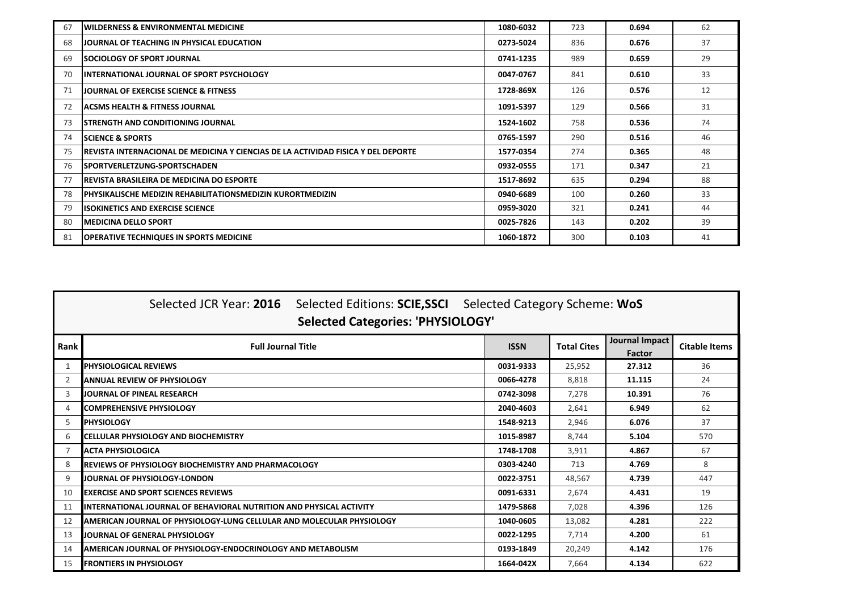| 67 | <b>WILDERNESS &amp; ENVIRONMENTAL MEDICINE</b>                                     | 1080-6032 | 723 | 0.694 | 62 |
|----|------------------------------------------------------------------------------------|-----------|-----|-------|----|
| 68 | <b>JOURNAL OF TEACHING IN PHYSICAL EDUCATION</b>                                   | 0273-5024 | 836 | 0.676 | 37 |
| 69 | <b>ISOCIOLOGY OF SPORT JOURNAL</b>                                                 | 0741-1235 | 989 | 0.659 | 29 |
| 70 | <b>INTERNATIONAL JOURNAL OF SPORT PSYCHOLOGY</b>                                   | 0047-0767 | 841 | 0.610 | 33 |
| 71 | JOURNAL OF EXERCISE SCIENCE & FITNESS                                              | 1728-869X | 126 | 0.576 | 12 |
| 72 | ACSMS HEALTH & FITNESS JOURNAL                                                     | 1091-5397 | 129 | 0.566 | 31 |
| 73 | ISTRENGTH AND CONDITIONING JOURNAL                                                 | 1524-1602 | 758 | 0.536 | 74 |
| 74 | <b>ISCIENCE &amp; SPORTS</b>                                                       | 0765-1597 | 290 | 0.516 | 46 |
| 75 | IREVISTA INTERNACIONAL DE MEDICINA Y CIENCIAS DE LA ACTIVIDAD FISICA Y DEL DEPORTE | 1577-0354 | 274 | 0.365 | 48 |
| 76 | <b>SPORTVERLETZUNG-SPORTSCHADEN</b>                                                | 0932-0555 | 171 | 0.347 | 21 |
| 77 | <b>REVISTA BRASILEIRA DE MEDICINA DO ESPORTE</b>                                   | 1517-8692 | 635 | 0.294 | 88 |
| 78 | PHYSIKALISCHE MEDIZIN REHABILITATIONSMEDIZIN KURORTMEDIZIN                         | 0940-6689 | 100 | 0.260 | 33 |
| 79 | <b>ISOKINETICS AND EXERCISE SCIENCE</b>                                            | 0959-3020 | 321 | 0.241 | 44 |
| 80 | IMEDICINA DELLO SPORT                                                              | 0025-7826 | 143 | 0.202 | 39 |
| 81 | <b>OPERATIVE TECHNIQUES IN SPORTS MEDICINE</b>                                     | 1060-1872 | 300 | 0.103 | 41 |

|      | Selected JCR Year: 2016 Selected Editions: SCIE, SSCI Selected Category Scheme: WoS<br><b>Selected Categories: 'PHYSIOLOGY'</b> |  |             |                    |                          |                      |  |  |  |
|------|---------------------------------------------------------------------------------------------------------------------------------|--|-------------|--------------------|--------------------------|----------------------|--|--|--|
| Rank | <b>Full Journal Title</b>                                                                                                       |  | <b>ISSN</b> | <b>Total Cites</b> | Journal Impact<br>Factor | <b>Citable Items</b> |  |  |  |
| -1   | <b>PHYSIOLOGICAL REVIEWS</b>                                                                                                    |  | 0031-9333   | 25,952             | 27.312                   | 36                   |  |  |  |
|      | <b>ANNUAL REVIEW OF PHYSIOLOGY</b>                                                                                              |  | 0066-4278   | 8,818              | 11.115                   | 24                   |  |  |  |
| 3    | JOURNAL OF PINEAL RESEARCH                                                                                                      |  | 0742-3098   | 7,278              | 10.391                   | 76                   |  |  |  |
| ⊿    | <b>COMPREHENSIVE PHYSIOLOGY</b>                                                                                                 |  | 2040-4603   | 2,641              | 6.949                    | 62                   |  |  |  |
| .5   | <b>PHYSIOLOGY</b>                                                                                                               |  | 1548-9213   | 2,946              | 6.076                    | 37                   |  |  |  |
| 6    | <b>CELLULAR PHYSIOLOGY AND BIOCHEMISTRY</b>                                                                                     |  | 1015-8987   | 8,744              | 5.104                    | 570                  |  |  |  |
|      | <b>ACTA PHYSIOLOGICA</b>                                                                                                        |  | 1748-1708   | 3,911              | 4.867                    | 67                   |  |  |  |
| 8    | <b>IREVIEWS OF PHYSIOLOGY BIOCHEMISTRY AND PHARMACOLOGY</b>                                                                     |  | 0303-4240   | 713                | 4.769                    | 8                    |  |  |  |
| 9    | JOURNAL OF PHYSIOLOGY-LONDON                                                                                                    |  | 0022-3751   | 48,567             | 4.739                    | 447                  |  |  |  |
| 10   | <b>EXERCISE AND SPORT SCIENCES REVIEWS</b>                                                                                      |  | 0091-6331   | 2,674              | 4.431                    | 19                   |  |  |  |
| 11   | IINTERNATIONAL JOURNAL OF BEHAVIORAL NUTRITION AND PHYSICAL ACTIVITY                                                            |  | 1479-5868   | 7,028              | 4.396                    | 126                  |  |  |  |
| 12   | AMERICAN JOURNAL OF PHYSIOLOGY-LUNG CELLULAR AND MOLECULAR PHYSIOLOGY                                                           |  | 1040-0605   | 13,082             | 4.281                    | 222                  |  |  |  |
| 13   | JOURNAL OF GENERAL PHYSIOLOGY                                                                                                   |  | 0022-1295   | 7,714              | 4.200                    | 61                   |  |  |  |
| 14   | AMERICAN JOURNAL OF PHYSIOLOGY-ENDOCRINOLOGY AND METABOLISM                                                                     |  | 0193-1849   | 20,249             | 4.142                    | 176                  |  |  |  |
| 15   | <b>FRONTIERS IN PHYSIOLOGY</b>                                                                                                  |  | 1664-042X   | 7,664              | 4.134                    | 622                  |  |  |  |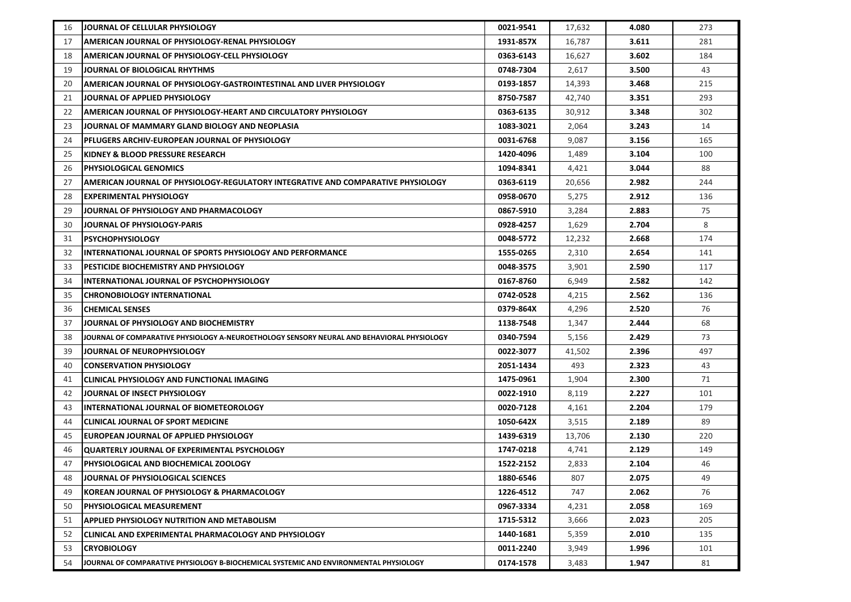| 16 | JOURNAL OF CELLULAR PHYSIOLOGY                                                             | 0021-9541 | 17,632 | 4.080 | 273 |
|----|--------------------------------------------------------------------------------------------|-----------|--------|-------|-----|
| 17 | AMERICAN JOURNAL OF PHYSIOLOGY-RENAL PHYSIOLOGY                                            | 1931-857X | 16,787 | 3.611 | 281 |
| 18 | <b>AMERICAN JOURNAL OF PHYSIOLOGY-CELL PHYSIOLOGY</b>                                      | 0363-6143 | 16,627 | 3.602 | 184 |
| 19 | JOURNAL OF BIOLOGICAL RHYTHMS                                                              | 0748-7304 | 2,617  | 3.500 | 43  |
| 20 | AMERICAN JOURNAL OF PHYSIOLOGY-GASTROINTESTINAL AND LIVER PHYSIOLOGY                       | 0193-1857 | 14,393 | 3.468 | 215 |
| 21 | JOURNAL OF APPLIED PHYSIOLOGY                                                              | 8750-7587 | 42,740 | 3.351 | 293 |
| 22 | AMERICAN JOURNAL OF PHYSIOLOGY-HEART AND CIRCULATORY PHYSIOLOGY                            | 0363-6135 | 30,912 | 3.348 | 302 |
| 23 | JOURNAL OF MAMMARY GLAND BIOLOGY AND NEOPLASIA                                             | 1083-3021 | 2,064  | 3.243 | 14  |
| 24 | PFLUGERS ARCHIV-EUROPEAN JOURNAL OF PHYSIOLOGY                                             | 0031-6768 | 9,087  | 3.156 | 165 |
| 25 | KIDNEY & BLOOD PRESSURE RESEARCH                                                           | 1420-4096 | 1,489  | 3.104 | 100 |
| 26 | <b>PHYSIOLOGICAL GENOMICS</b>                                                              | 1094-8341 | 4,421  | 3.044 | 88  |
| 27 | AMERICAN JOURNAL OF PHYSIOLOGY-REGULATORY INTEGRATIVE AND COMPARATIVE PHYSIOLOGY           | 0363-6119 | 20,656 | 2.982 | 244 |
| 28 | <b>EXPERIMENTAL PHYSIOLOGY</b>                                                             | 0958-0670 | 5,275  | 2.912 | 136 |
| 29 | JOURNAL OF PHYSIOLOGY AND PHARMACOLOGY                                                     | 0867-5910 | 3,284  | 2.883 | 75  |
| 30 | JOURNAL OF PHYSIOLOGY-PARIS                                                                | 0928-4257 | 1,629  | 2.704 | 8   |
| 31 | <b>PSYCHOPHYSIOLOGY</b>                                                                    | 0048-5772 | 12,232 | 2.668 | 174 |
| 32 | INTERNATIONAL JOURNAL OF SPORTS PHYSIOLOGY AND PERFORMANCE                                 | 1555-0265 | 2,310  | 2.654 | 141 |
| 33 | <b>PESTICIDE BIOCHEMISTRY AND PHYSIOLOGY</b>                                               | 0048-3575 | 3,901  | 2.590 | 117 |
| 34 | INTERNATIONAL JOURNAL OF PSYCHOPHYSIOLOGY                                                  | 0167-8760 | 6,949  | 2.582 | 142 |
| 35 | <b>CHRONOBIOLOGY INTERNATIONAL</b>                                                         | 0742-0528 | 4,215  | 2.562 | 136 |
| 36 | <b>CHEMICAL SENSES</b>                                                                     | 0379-864X | 4,296  | 2.520 | 76  |
| 37 | JOURNAL OF PHYSIOLOGY AND BIOCHEMISTRY                                                     | 1138-7548 | 1,347  | 2.444 | 68  |
| 38 | JOURNAL OF COMPARATIVE PHYSIOLOGY A-NEUROETHOLOGY SENSORY NEURAL AND BEHAVIORAL PHYSIOLOGY | 0340-7594 | 5,156  | 2.429 | 73  |
| 39 | <b>JOURNAL OF NEUROPHYSIOLOGY</b>                                                          | 0022-3077 | 41,502 | 2.396 | 497 |
| 40 | <b>CONSERVATION PHYSIOLOGY</b>                                                             | 2051-1434 | 493    | 2.323 | 43  |
| 41 | CLINICAL PHYSIOLOGY AND FUNCTIONAL IMAGING                                                 | 1475-0961 | 1,904  | 2.300 | 71  |
| 42 | JOURNAL OF INSECT PHYSIOLOGY                                                               | 0022-1910 | 8,119  | 2.227 | 101 |
| 43 | <b>INTERNATIONAL JOURNAL OF BIOMETEOROLOGY</b>                                             | 0020-7128 | 4,161  | 2.204 | 179 |
| 44 | CLINICAL JOURNAL OF SPORT MEDICINE                                                         | 1050-642X | 3,515  | 2.189 | 89  |
| 45 | <b>EUROPEAN JOURNAL OF APPLIED PHYSIOLOGY</b>                                              | 1439-6319 | 13,706 | 2.130 | 220 |
| 46 | QUARTERLY JOURNAL OF EXPERIMENTAL PSYCHOLOGY                                               | 1747-0218 | 4,741  | 2.129 | 149 |
| 47 | <b>PHYSIOLOGICAL AND BIOCHEMICAL ZOOLOGY</b>                                               | 1522-2152 | 2,833  | 2.104 | 46  |
| 48 | JOURNAL OF PHYSIOLOGICAL SCIENCES                                                          | 1880-6546 | 807    | 2.075 | 49  |
| 49 | KOREAN JOURNAL OF PHYSIOLOGY & PHARMACOLOGY                                                | 1226-4512 | 747    | 2.062 | 76  |
| 50 | <b>PHYSIOLOGICAL MEASUREMENT</b>                                                           | 0967-3334 | 4,231  | 2.058 | 169 |
| 51 | <b>APPLIED PHYSIOLOGY NUTRITION AND METABOLISM</b>                                         | 1715-5312 | 3,666  | 2.023 | 205 |
| 52 | <b>CLINICAL AND EXPERIMENTAL PHARMACOLOGY AND PHYSIOLOGY</b>                               | 1440-1681 | 5,359  | 2.010 | 135 |
| 53 | <b>CRYOBIOLOGY</b>                                                                         | 0011-2240 | 3,949  | 1.996 | 101 |
| 54 | JJOURNAL OF COMPARATIVE PHYSIOLOGY B-BIOCHEMICAL SYSTEMIC AND ENVIRONMENTAL PHYSIOLOGY     | 0174-1578 | 3,483  | 1.947 | 81  |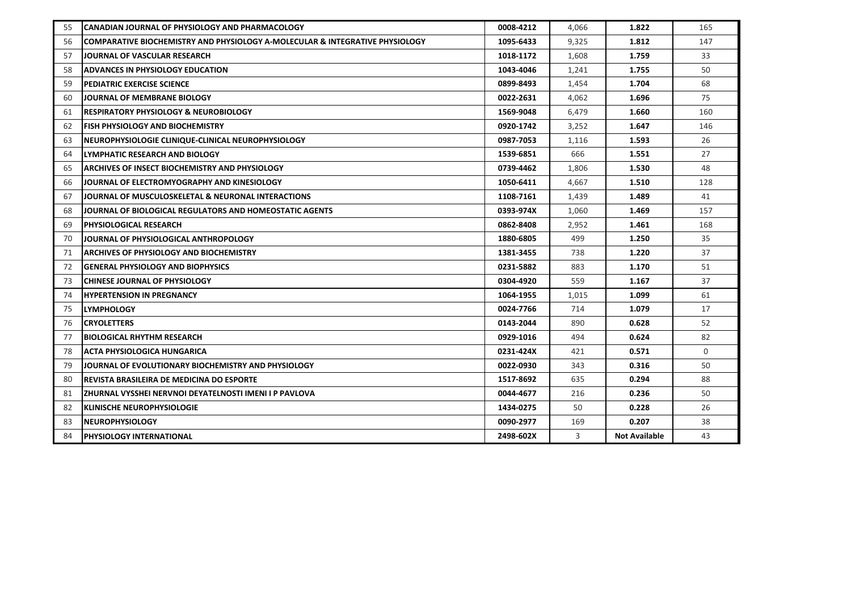| 55 | <b>CANADIAN JOURNAL OF PHYSIOLOGY AND PHARMACOLOGY</b>                       | 0008-4212 | 4,066 | 1.822                | 165      |
|----|------------------------------------------------------------------------------|-----------|-------|----------------------|----------|
| 56 | COMPARATIVE BIOCHEMISTRY AND PHYSIOLOGY A-MOLECULAR & INTEGRATIVE PHYSIOLOGY | 1095-6433 | 9,325 | 1.812                | 147      |
| 57 | JOURNAL OF VASCULAR RESEARCH                                                 | 1018-1172 | 1,608 | 1.759                | 33       |
| 58 | ADVANCES IN PHYSIOLOGY EDUCATION                                             | 1043-4046 | 1,241 | 1.755                | 50       |
| 59 | PEDIATRIC EXERCISE SCIENCE                                                   | 0899-8493 | 1,454 | 1.704                | 68       |
| 60 | JOURNAL OF MEMBRANE BIOLOGY                                                  | 0022-2631 | 4,062 | 1.696                | 75       |
| 61 | <b>RESPIRATORY PHYSIOLOGY &amp; NEUROBIOLOGY</b>                             | 1569-9048 | 6,479 | 1.660                | 160      |
| 62 | <b>FISH PHYSIOLOGY AND BIOCHEMISTRY</b>                                      | 0920-1742 | 3,252 | 1.647                | 146      |
| 63 | NEUROPHYSIOLOGIE CLINIQUE-CLINICAL NEUROPHYSIOLOGY                           | 0987-7053 | 1,116 | 1.593                | 26       |
| 64 | LYMPHATIC RESEARCH AND BIOLOGY                                               | 1539-6851 | 666   | 1.551                | 27       |
| 65 | <b>ARCHIVES OF INSECT BIOCHEMISTRY AND PHYSIOLOGY</b>                        | 0739-4462 | 1,806 | 1.530                | 48       |
| 66 | JOURNAL OF ELECTROMYOGRAPHY AND KINESIOLOGY                                  | 1050-6411 | 4,667 | 1.510                | 128      |
| 67 | JOURNAL OF MUSCULOSKELETAL & NEURONAL INTERACTIONS                           | 1108-7161 | 1,439 | 1.489                | 41       |
| 68 | JOURNAL OF BIOLOGICAL REGULATORS AND HOMEOSTATIC AGENTS                      | 0393-974X | 1,060 | 1.469                | 157      |
| 69 | <b>PHYSIOLOGICAL RESEARCH</b>                                                | 0862-8408 | 2,952 | 1.461                | 168      |
| 70 | JOURNAL OF PHYSIOLOGICAL ANTHROPOLOGY                                        | 1880-6805 | 499   | 1.250                | 35       |
| 71 | ARCHIVES OF PHYSIOLOGY AND BIOCHEMISTRY                                      | 1381-3455 | 738   | 1.220                | 37       |
| 72 | <b>GENERAL PHYSIOLOGY AND BIOPHYSICS</b>                                     | 0231-5882 | 883   | 1.170                | 51       |
| 73 | <b>CHINESE JOURNAL OF PHYSIOLOGY</b>                                         | 0304-4920 | 559   | 1.167                | 37       |
| 74 | <b>HYPERTENSION IN PREGNANCY</b>                                             | 1064-1955 | 1,015 | 1.099                | 61       |
| 75 | <b>LYMPHOLOGY</b>                                                            | 0024-7766 | 714   | 1.079                | 17       |
| 76 | <b>CRYOLETTERS</b>                                                           | 0143-2044 | 890   | 0.628                | 52       |
| 77 | <b>BIOLOGICAL RHYTHM RESEARCH</b>                                            | 0929-1016 | 494   | 0.624                | 82       |
| 78 | <b>ACTA PHYSIOLOGICA HUNGARICA</b>                                           | 0231-424X | 421   | 0.571                | $\Omega$ |
| 79 | JOURNAL OF EVOLUTIONARY BIOCHEMISTRY AND PHYSIOLOGY                          | 0022-0930 | 343   | 0.316                | 50       |
| 80 | <b>REVISTA BRASILEIRA DE MEDICINA DO ESPORTE</b>                             | 1517-8692 | 635   | 0.294                | 88       |
| 81 | ZHURNAL VYSSHEI NERVNOI DEYATELNOSTI IMENI I P PAVLOVA                       | 0044-4677 | 216   | 0.236                | 50       |
| 82 | <b>KLINISCHE NEUROPHYSIOLOGIE</b>                                            | 1434-0275 | 50    | 0.228                | 26       |
| 83 | <b>NEUROPHYSIOLOGY</b>                                                       | 0090-2977 | 169   | 0.207                | 38       |
| 84 | PHYSIOLOGY INTERNATIONAL                                                     | 2498-602X | 3     | <b>Not Available</b> | 43       |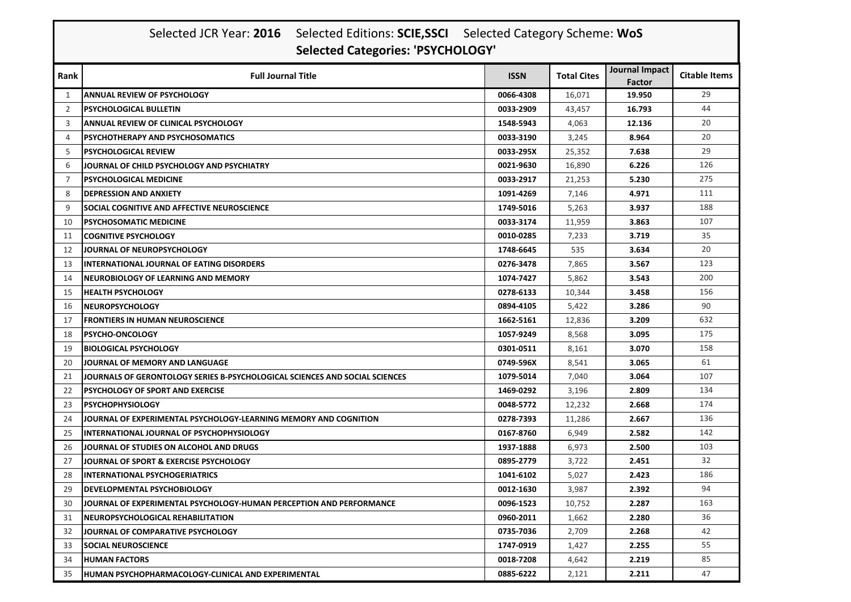|                | Selected JCR Year: 2016 Selected Editions: SCIE, SSCI Selected Category Scheme: WoS<br><b>Selected Categories: 'PSYCHOLOGY'</b> |             |                    |                          |                      |  |  |  |
|----------------|---------------------------------------------------------------------------------------------------------------------------------|-------------|--------------------|--------------------------|----------------------|--|--|--|
| Rank           | <b>Full Journal Title</b>                                                                                                       | <b>ISSN</b> | <b>Total Cites</b> | Journal Impact<br>Factor | <b>Citable Items</b> |  |  |  |
| 1              | <b>ANNUAL REVIEW OF PSYCHOLOGY</b>                                                                                              | 0066-4308   | 16,071             | 19.950                   | 29                   |  |  |  |
| 2              | <b>PSYCHOLOGICAL BULLETIN</b>                                                                                                   | 0033-2909   | 43,457             | 16.793                   | 44                   |  |  |  |
| 3              | <b>ANNUAL REVIEW OF CLINICAL PSYCHOLOGY</b>                                                                                     | 1548-5943   | 4,063              | 12.136                   | 20                   |  |  |  |
| $\overline{4}$ | <b>PSYCHOTHERAPY AND PSYCHOSOMATICS</b>                                                                                         | 0033-3190   | 3,245              | 8.964                    | 20                   |  |  |  |
| 5              | <b>PSYCHOLOGICAL REVIEW</b>                                                                                                     | 0033-295X   | 25,352             | 7.638                    | 29                   |  |  |  |
| 6              | JOURNAL OF CHILD PSYCHOLOGY AND PSYCHIATRY                                                                                      | 0021-9630   | 16,890             | 6.226                    | 126                  |  |  |  |
| 7              | <b>PSYCHOLOGICAL MEDICINE</b>                                                                                                   | 0033-2917   | 21,253             | 5.230                    | 275                  |  |  |  |
| 8              | <b>DEPRESSION AND ANXIETY</b>                                                                                                   | 1091-4269   | 7,146              | 4.971                    | 111                  |  |  |  |
| 9              | SOCIAL COGNITIVE AND AFFECTIVE NEUROSCIENCE                                                                                     | 1749-5016   | 5,263              | 3.937                    | 188                  |  |  |  |
| 10             | <b>IPSYCHOSOMATIC MEDICINE</b>                                                                                                  | 0033-3174   | 11,959             | 3.863                    | 107                  |  |  |  |
| 11             | <b>COGNITIVE PSYCHOLOGY</b>                                                                                                     | 0010-0285   | 7,233              | 3.719                    | 35                   |  |  |  |
| 12             | JOURNAL OF NEUROPSYCHOLOGY                                                                                                      | 1748-6645   | 535                | 3.634                    | 20                   |  |  |  |
| 13             | <b>INTERNATIONAL JOURNAL OF EATING DISORDERS</b>                                                                                | 0276-3478   | 7,865              | 3.567                    | 123                  |  |  |  |
| 14             | <b>NEUROBIOLOGY OF LEARNING AND MEMORY</b>                                                                                      | 1074-7427   | 5,862              | 3.543                    | 200                  |  |  |  |
| 15             | <b>HEALTH PSYCHOLOGY</b>                                                                                                        | 0278-6133   | 10,344             | 3.458                    | 156                  |  |  |  |
| 16             | <b>NEUROPSYCHOLOGY</b>                                                                                                          | 0894-4105   | 5,422              | 3.286                    | 90                   |  |  |  |
| 17             | <b>FRONTIERS IN HUMAN NEUROSCIENCE</b>                                                                                          | 1662-5161   | 12,836             | 3.209                    | 632                  |  |  |  |
| 18             | <b>PSYCHO-ONCOLOGY</b>                                                                                                          | 1057-9249   | 8,568              | 3.095                    | 175                  |  |  |  |
| 19             | <b>BIOLOGICAL PSYCHOLOGY</b>                                                                                                    | 0301-0511   | 8,161              | 3.070                    | 158                  |  |  |  |
| 20             | JOURNAL OF MEMORY AND LANGUAGE                                                                                                  | 0749-596X   | 8,541              | 3.065                    | 61                   |  |  |  |
| 21             | JOURNALS OF GERONTOLOGY SERIES B-PSYCHOLOGICAL SCIENCES AND SOCIAL SCIENCES                                                     | 1079-5014   | 7,040              | 3.064                    | 107                  |  |  |  |
| 22             | <b>PSYCHOLOGY OF SPORT AND EXERCISE</b>                                                                                         | 1469-0292   | 3,196              | 2.809                    | 134                  |  |  |  |
| 23             | <b>PSYCHOPHYSIOLOGY</b>                                                                                                         | 0048-5772   | 12,232             | 2.668                    | 174                  |  |  |  |
| 24             | JOURNAL OF EXPERIMENTAL PSYCHOLOGY-LEARNING MEMORY AND COGNITION                                                                | 0278-7393   | 11,286             | 2.667                    | 136                  |  |  |  |
| 25             | INTERNATIONAL JOURNAL OF PSYCHOPHYSIOLOGY                                                                                       | 0167-8760   | 6,949              | 2.582                    | 142                  |  |  |  |
| 26             | JOURNAL OF STUDIES ON ALCOHOL AND DRUGS                                                                                         | 1937-1888   | 6,973              | 2.500                    | 103                  |  |  |  |
| 27             | JOURNAL OF SPORT & EXERCISE PSYCHOLOGY                                                                                          | 0895-2779   | 3,722              | 2.451                    | 32                   |  |  |  |
| 28             | <b>INTERNATIONAL PSYCHOGERIATRICS</b>                                                                                           | 1041-6102   | 5,027              | 2.423                    | 186                  |  |  |  |
| 29             | <b>DEVELOPMENTAL PSYCHOBIOLOGY</b>                                                                                              | 0012-1630   | 3,987              | 2.392                    | 94                   |  |  |  |
| 30             | JOURNAL OF EXPERIMENTAL PSYCHOLOGY-HUMAN PERCEPTION AND PERFORMANCE                                                             | 0096-1523   | 10,752             | 2.287                    | 163                  |  |  |  |
| 31             | NEUROPSYCHOLOGICAL REHABILITATION                                                                                               | 0960-2011   | 1,662              | 2.280                    | 36                   |  |  |  |
| 32             | JOURNAL OF COMPARATIVE PSYCHOLOGY                                                                                               | 0735-7036   | 2,709              | 2.268                    | 42                   |  |  |  |
| 33             | <b>SOCIAL NEUROSCIENCE</b>                                                                                                      | 1747-0919   | 1,427              | 2.255                    | 55                   |  |  |  |
| 34             | <b>HUMAN FACTORS</b>                                                                                                            | 0018-7208   | 4,642              | 2.219                    | 85                   |  |  |  |
| 35             | HUMAN PSYCHOPHARMACOLOGY-CLINICAL AND EXPERIMENTAL                                                                              | 0885-6222   | 2,121              | 2.211                    | 47                   |  |  |  |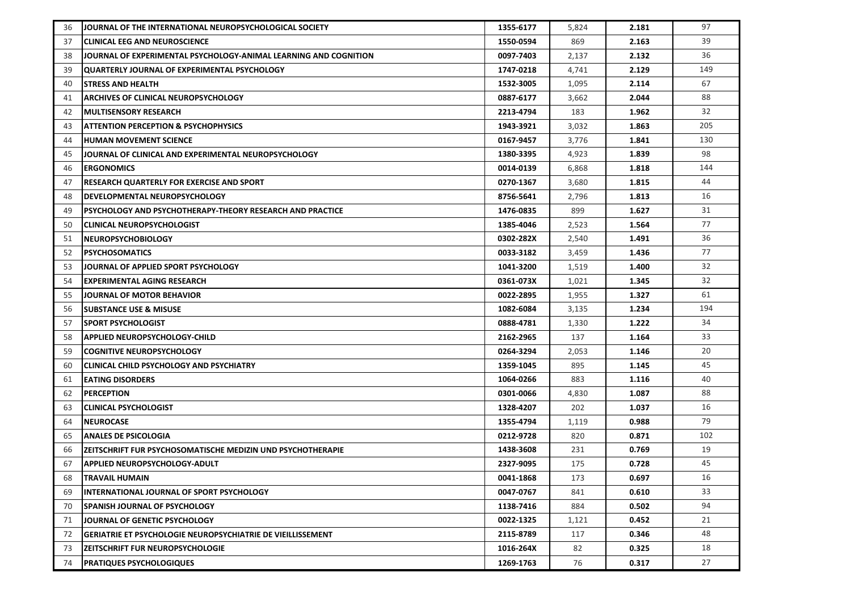| 36 | JOURNAL OF THE INTERNATIONAL NEUROPSYCHOLOGICAL SOCIETY          | 1355-6177 | 5,824 | 2.181 | 97  |
|----|------------------------------------------------------------------|-----------|-------|-------|-----|
| 37 | <b>CLINICAL EEG AND NEUROSCIENCE</b>                             | 1550-0594 | 869   | 2.163 | 39  |
| 38 | JOURNAL OF EXPERIMENTAL PSYCHOLOGY-ANIMAL LEARNING AND COGNITION | 0097-7403 | 2,137 | 2.132 | 36  |
| 39 | QUARTERLY JOURNAL OF EXPERIMENTAL PSYCHOLOGY                     | 1747-0218 | 4,741 | 2.129 | 149 |
| 40 | ISTRESS AND HEALTH                                               | 1532-3005 | 1,095 | 2.114 | 67  |
| 41 | ARCHIVES OF CLINICAL NEUROPSYCHOLOGY                             | 0887-6177 | 3,662 | 2.044 | 88  |
| 42 | <b>MULTISENSORY RESEARCH</b>                                     | 2213-4794 | 183   | 1.962 | 32  |
| 43 | <b>ATTENTION PERCEPTION &amp; PSYCHOPHYSICS</b>                  | 1943-3921 | 3,032 | 1.863 | 205 |
| 44 | <b>HUMAN MOVEMENT SCIENCE</b>                                    | 0167-9457 | 3,776 | 1.841 | 130 |
| 45 | JOURNAL OF CLINICAL AND EXPERIMENTAL NEUROPSYCHOLOGY             | 1380-3395 | 4,923 | 1.839 | 98  |
| 46 | <b>ERGONOMICS</b>                                                | 0014-0139 | 6,868 | 1.818 | 144 |
| 47 | <b>RESEARCH QUARTERLY FOR EXERCISE AND SPORT</b>                 | 0270-1367 | 3,680 | 1.815 | 44  |
| 48 | <b>DEVELOPMENTAL NEUROPSYCHOLOGY</b>                             | 8756-5641 | 2,796 | 1.813 | 16  |
| 49 | PSYCHOLOGY AND PSYCHOTHERAPY-THEORY RESEARCH AND PRACTICE        | 1476-0835 | 899   | 1.627 | 31  |
| 50 | CLINICAL NEUROPSYCHOLOGIST                                       | 1385-4046 | 2,523 | 1.564 | 77  |
| 51 | <b>INEUROPSYCHOBIOLOGY</b>                                       | 0302-282X | 2,540 | 1.491 | 36  |
| 52 | <b>PSYCHOSOMATICS</b>                                            | 0033-3182 | 3,459 | 1.436 | 77  |
| 53 | JOURNAL OF APPLIED SPORT PSYCHOLOGY                              | 1041-3200 | 1,519 | 1.400 | 32  |
| 54 | EXPERIMENTAL AGING RESEARCH                                      | 0361-073X | 1,021 | 1.345 | 32  |
| 55 | JOURNAL OF MOTOR BEHAVIOR                                        | 0022-2895 | 1,955 | 1.327 | 61  |
| 56 | <b>ISUBSTANCE USE &amp; MISUSE</b>                               | 1082-6084 | 3,135 | 1.234 | 194 |
| 57 | <b>SPORT PSYCHOLOGIST</b>                                        | 0888-4781 | 1,330 | 1.222 | 34  |
| 58 | APPLIED NEUROPSYCHOLOGY-CHILD                                    | 2162-2965 | 137   | 1.164 | 33  |
| 59 | <b>COGNITIVE NEUROPSYCHOLOGY</b>                                 | 0264-3294 | 2,053 | 1.146 | 20  |
| 60 | CLINICAL CHILD PSYCHOLOGY AND PSYCHIATRY                         | 1359-1045 | 895   | 1.145 | 45  |
| 61 | <b>EATING DISORDERS</b>                                          | 1064-0266 | 883   | 1.116 | 40  |
| 62 | <b>PERCEPTION</b>                                                | 0301-0066 | 4,830 | 1.087 | 88  |
| 63 | CLINICAL PSYCHOLOGIST                                            | 1328-4207 | 202   | 1.037 | 16  |
| 64 | <b>INEUROCASE</b>                                                | 1355-4794 | 1,119 | 0.988 | 79  |
| 65 | <b>ANALES DE PSICOLOGIA</b>                                      | 0212-9728 | 820   | 0.871 | 102 |
| 66 | ZEITSCHRIFT FUR PSYCHOSOMATISCHE MEDIZIN UND PSYCHOTHERAPIE      | 1438-3608 | 231   | 0.769 | 19  |
| 67 | <b>APPLIED NEUROPSYCHOLOGY-ADULT</b>                             | 2327-9095 | 175   | 0.728 | 45  |
| 68 | <b>TRAVAIL HUMAIN</b>                                            | 0041-1868 | 173   | 0.697 | 16  |
| 69 | <b>INTERNATIONAL JOURNAL OF SPORT PSYCHOLOGY</b>                 | 0047-0767 | 841   | 0.610 | 33  |
| 70 | <b>SPANISH JOURNAL OF PSYCHOLOGY</b>                             | 1138-7416 | 884   | 0.502 | 94  |
| 71 | JOURNAL OF GENETIC PSYCHOLOGY                                    | 0022-1325 | 1,121 | 0.452 | 21  |
| 72 | GERIATRIE ET PSYCHOLOGIE NEUROPSYCHIATRIE DE VIEILLISSEMENT      | 2115-8789 | 117   | 0.346 | 48  |
| 73 | <b>ZEITSCHRIFT FUR NEUROPSYCHOLOGIE</b>                          | 1016-264X | 82    | 0.325 | 18  |
| 74 | <b>PRATIQUES PSYCHOLOGIQUES</b>                                  | 1269-1763 | 76    | 0.317 | 27  |